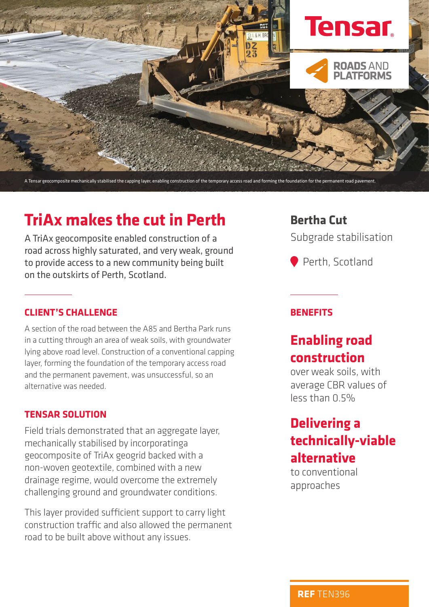

# **TriAx makes the cut in Perth**

A TriAx geocomposite enabled construction of a road across highly saturated, and very weak, ground to provide access to a new community being built on the outskirts of Perth, Scotland.

### **CLIENT'S CHALLENGE**

A section of the road between the A85 and Bertha Park runs in a cutting through an area of weak soils, with groundwater lying above road level. Construction of a conventional capping layer, forming the foundation of the temporary access road and the permanent pavement, was unsuccessful, so an alternative was needed.

#### **TENSAR SOLUTION**

Field trials demonstrated that an aggregate layer, mechanically stabilised by incorporatinga geocomposite of TriAx geogrid backed with a non-woven geotextile, combined with a new drainage regime, would overcome the extremely challenging ground and groundwater conditions.

This layer provided sufficient support to carry light construction traffic and also allowed the permanent road to be built above without any issues.

### **Bertha Cut**

Subgrade stabilisation

Perth, Scotland

### **BENEFITS**

## **Enabling road construction**

over weak soils, with average CBR values of less than 0.5%

## **Delivering a technically-viable alternative**

to conventional approaches